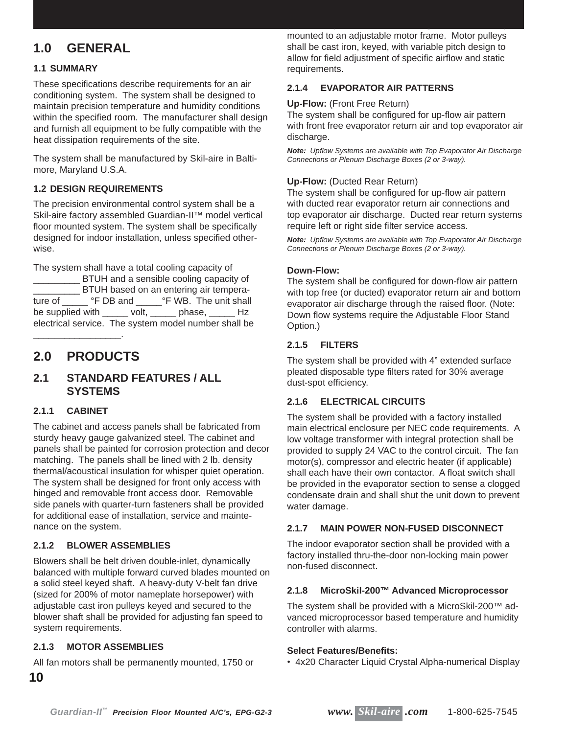# **1.0 GENERAL**

# **1.1 SUMMARY**

These specifications describe requirements for an air conditioning system. The system shall be designed to maintain precision temperature and humidity conditions within the specified room. The manufacturer shall design and furnish all equipment to be fully compatible with the heat dissipation requirements of the site.

The system shall be manufactured by Skil-aire in Baltimore, Maryland U.S.A.

# **1.2 DESIGN REQUIREMENTS**

The precision environmental control system shall be a Skil-aire factory assembled Guardian-II™ model vertical floor mounted system. The system shall be specifically designed for indoor installation, unless specified otherwise.

The system shall have a total cooling capacity of

\_\_\_\_\_\_\_\_\_ BTUH and a sensible cooling capacity of \_\_ BTUH based on an entering air temperature of \_\_\_\_\_\_ °F DB and \_\_\_\_\_\_ °F WB. The unit shall be supplied with \_\_\_\_\_ volt, \_\_\_\_\_ phase, \_\_\_\_\_ Hz electrical service. The system model number shall be

# **2.0 PRODUCTS**

\_\_\_\_\_\_\_\_\_\_\_\_\_\_\_\_\_.

# **2.1 STANDARD FEATURES / ALL SYSTEMS**

# **2.1.1 CABINET**

The cabinet and access panels shall be fabricated from sturdy heavy gauge galvanized steel. The cabinet and panels shall be painted for corrosion protection and decor matching. The panels shall be lined with 2 lb. density thermal/acoustical insulation for whisper quiet operation. The system shall be designed for front only access with hinged and removable front access door. Removable side panels with quarter-turn fasteners shall be provided for additional ease of installation, service and maintenance on the system.

# **2.1.2 BLOWER ASSEMBLIES**

Blowers shall be belt driven double-inlet, dynamically balanced with multiple forward curved blades mounted on a solid steel keyed shaft. A heavy-duty V-belt fan drive (sized for 200% of motor nameplate horsepower) with adjustable cast iron pulleys keyed and secured to the blower shaft shall be provided for adjusting fan speed to system requirements.

# **2.1.3 MOTOR ASSEMBLIES**

All fan motors shall be permanently mounted, 1750 or

mounted to an adjustable motor frame. Motor pulleys shall be cast iron, keyed, with variable pitch design to allow for field adjustment of specific airflow and static requirements.

permanently lubricated ball bearings and be resiliently

# **2.1.4 EVAPORATOR AIR PATTERNS**

#### **Up-Flow:** (Front Free Return)

The system shall be configured for up-flow air pattern with front free evaporator return air and top evaporator air discharge.

*Note: Upfl ow Systems are available with Top Evaporator Air Discharge Connections or Plenum Discharge Boxes (2 or 3-way).*

#### **Up-Flow:** (Ducted Rear Return)

The system shall be configured for up-flow air pattern with ducted rear evaporator return air connections and top evaporator air discharge. Ducted rear return systems require left or right side filter service access.

*Note: Upfl ow Systems are available with Top Evaporator Air Discharge Connections or Plenum Discharge Boxes (2 or 3-way).*

#### **Down-Flow:**

The system shall be configured for down-flow air pattern with top free (or ducted) evaporator return air and bottom evaporator air discharge through the raised floor. (Note: Down flow systems require the Adjustable Floor Stand Option.)

# **2.1.5 FILTERS**

The system shall be provided with 4" extended surface pleated disposable type filters rated for 30% average dust-spot efficiency.

# **2.1.6 ELECTRICAL CIRCUITS**

The system shall be provided with a factory installed main electrical enclosure per NEC code requirements. A low voltage transformer with integral protection shall be provided to supply 24 VAC to the control circuit. The fan motor(s), compressor and electric heater (if applicable) shall each have their own contactor. A float switch shall be provided in the evaporator section to sense a clogged condensate drain and shall shut the unit down to prevent water damage.

# **2.1.7 MAIN POWER NON-FUSED DISCONNECT**

The indoor evaporator section shall be provided with a factory installed thru-the-door non-locking main power non-fused disconnect.

# **2.1.8 MicroSkil-200™ Advanced Microprocessor**

The system shall be provided with a MicroSkil-200™ advanced microprocessor based temperature and humidity controller with alarms.

# **Select Features/Benefi ts:**

• 4x20 Character Liquid Crystal Alpha-numerical Display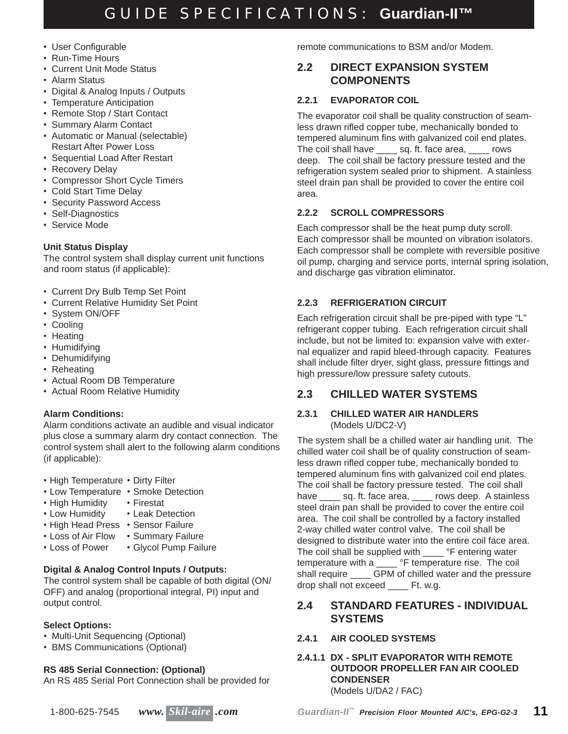- User Configurable
- Run-Time Hours
- Current Unit Mode Status
- Alarm Status
- Digital & Analog Inputs / Outputs
- Temperature Anticipation
- Remote Stop / Start Contact
- Summary Alarm Contact
- Automatic or Manual (selectable) Restart After Power Loss
- Sequential Load After Restart
- Recovery Delay
- Compressor Short Cycle Timers
- Cold Start Time Delay
- Security Password Access
- Self-Diagnostics
- Service Mode

# **Unit Status Display**

The control system shall display current unit functions and room status (if applicable):

- Current Dry Bulb Temp Set Point
- Current Relative Humidity Set Point
- System ON/OFF
- Cooling
- Heating
- Humidifying
- Dehumidifying
- Reheating
- Actual Room DB Temperature
- Actual Room Relative Humidity

# **Alarm Conditions:**

Alarm conditions activate an audible and visual indicator plus close a summary alarm dry contact connection. The control system shall alert to the following alarm conditions (if applicable):

- High Temperature Dirty Filter
- Low Temperature Smoke Detection
- High Humidity Firestat
- Low Humidity Leak Detection
- High Head Press Sensor Failure
	-
- Loss of Air Flow Summary Failure<br>• Loss of Power Glycol Pump Failu • Glycol Pump Failure

# **Digital & Analog Control Inputs / Outputs:**

The control system shall be capable of both digital (ON/ OFF) and analog (proportional integral, PI) input and output control.

# **Select Options:**

- Multi-Unit Sequencing (Optional)
- BMS Communications (Optional)

# **RS 485 Serial Connection: (Optional)**

An RS 485 Serial Port Connection shall be provided for

remote communications to BSM and/or Modem.

# **2.2 DIRECT EXPANSION SYSTEM COMPONENTS**

# **2.2.1 EVAPORATOR COIL**

The evaporator coil shall be quality construction of seamless drawn rifled copper tube, mechanically bonded to tempered aluminum fins with galvanized coil end plates. The coil shall have sq. ft. face area, rows deep. The coil shall be factory pressure tested and the refrigeration system sealed prior to shipment. A stainless steel drain pan shall be provided to cover the entire coil area.

# **2.2.2 SCROLL COMPRESSORS**

Each compressor shall be the heat pump duty scroll. Each compressor shall be mounted on vibration isolators. Each compressor shall be complete with reversible positive oil pump, charging and service ports, internal spring isolation, and discharge gas vibration eliminator.

# **2.2.3 REFRIGERATION CIRCUIT**

Each refrigeration circuit shall be pre-piped with type "L" refrigerant copper tubing. Each refrigeration circuit shall include, but not be limited to: expansion valve with external equalizer and rapid bleed-through capacity. Features shall include filter dryer, sight glass, pressure fittings and high pressure/low pressure safety cutouts.

# **2.3 CHILLED WATER SYSTEMS**

# **2.3.1 CHILLED WATER AIR HANDLERS** (Models U/DC2-V)

The system shall be a chilled water air handling unit. The chilled water coil shall be of quality construction of seamless drawn rifled copper tube, mechanically bonded to tempered aluminum fins with galvanized coil end plates. The coil shall be factory pressure tested. The coil shall have sq. ft. face area, soll rows deep. A stainless steel drain pan shall be provided to cover the entire coil area. The coil shall be controlled by a factory installed 2-way chilled water control valve. The coil shall be designed to distribute water into the entire coil face area. The coil shall be supplied with \_\_\_\_ °F entering water temperature with a \_\_\_\_ °F temperature rise. The coil shall require \_\_\_\_ GPM of chilled water and the pressure drop shall not exceed \_\_\_\_ Ft. w.g.

# **2.4 STANDARD FEATURES - INDIVIDUAL SYSTEMS**

# **2.4.1 AIR COOLED SYSTEMS**

**2.4.1.1 DX - SPLIT EVAPORATOR WITH REMOTE OUTDOOR PROPELLER FAN AIR COOLED CONDENSER** (Models U/DA2 / FAC)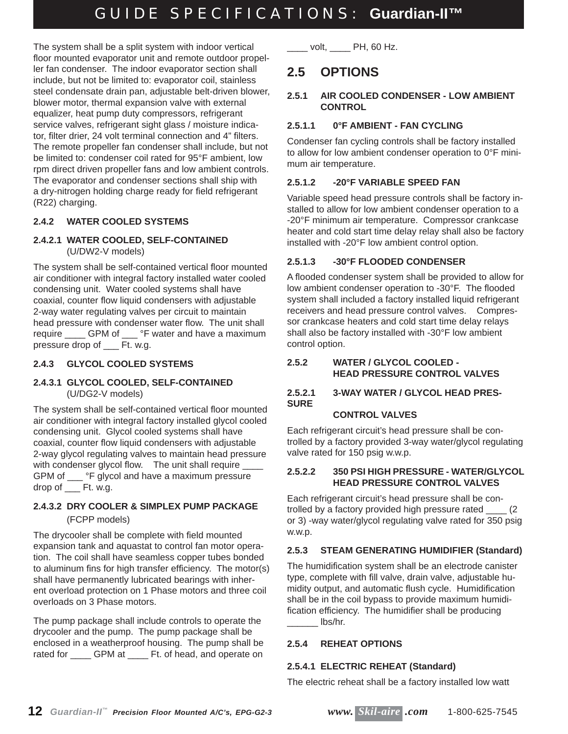The system shall be a split system with indoor vertical floor mounted evaporator unit and remote outdoor propeller fan condenser. The indoor evaporator section shall include, but not be limited to: evaporator coil, stainless steel condensate drain pan, adjustable belt-driven blower, blower motor, thermal expansion valve with external equalizer, heat pump duty compressors, refrigerant service valves, refrigerant sight glass / moisture indicator, filter drier, 24 volt terminal connection and 4" filters. The remote propeller fan condenser shall include, but not be limited to: condenser coil rated for 95°F ambient, low rpm direct driven propeller fans and low ambient controls. The evaporator and condenser sections shall ship with a dry-nitrogen holding charge ready for field refrigerant (R22) charging.

# **2.4.2 WATER COOLED SYSTEMS**

#### **2.4.2.1 WATER COOLED, SELF-CONTAINED** (U/DW2-V models)

The system shall be self-contained vertical floor mounted air conditioner with integral factory installed water cooled condensing unit. Water cooled systems shall have coaxial, counter flow liquid condensers with adjustable 2-way water regulating valves per circuit to maintain head pressure with condenser water flow. The unit shall require \_\_\_\_\_ GPM of \_\_\_ °F water and have a maximum pressure drop of \_\_\_ Ft. w.g.

# **2.4.3 GLYCOL COOLED SYSTEMS**

#### **2.4.3.1 GLYCOL COOLED, SELF-CONTAINED** (U/DG2-V models)

The system shall be self-contained vertical floor mounted air conditioner with integral factory installed glycol cooled condensing unit. Glycol cooled systems shall have coaxial, counter flow liquid condensers with adjustable 2-way glycol regulating valves to maintain head pressure with condenser glycol flow. The unit shall require GPM of \_\_\_ °F glycol and have a maximum pressure drop of \_\_\_ Ft. w.g.

# **2.4.3.2 DRY COOLER & SIMPLEX PUMP PACKAGE** (FCPP models)

The drycooler shall be complete with field mounted expansion tank and aquastat to control fan motor operation. The coil shall have seamless copper tubes bonded to aluminum fins for high transfer efficiency. The motor(s) shall have permanently lubricated bearings with inherent overload protection on 1 Phase motors and three coil overloads on 3 Phase motors.

The pump package shall include controls to operate the drycooler and the pump. The pump package shall be enclosed in a weatherproof housing. The pump shall be rated for \_\_\_\_\_ GPM at \_\_\_\_ Ft. of head, and operate on  $volt$ ,  $PH$ , 60 Hz.

# **2.5 OPTIONS**

# **2.5.1 AIR COOLED CONDENSER - LOW AMBIENT CONTROL**

# **2.5.1.1 0°F AMBIENT - FAN CYCLING**

Condenser fan cycling controls shall be factory installed to allow for low ambient condenser operation to 0°F minimum air temperature.

# **2.5.1.2 -20°F VARIABLE SPEED FAN**

Variable speed head pressure controls shall be factory installed to allow for low ambient condenser operation to a -20°F minimum air temperature. Compressor crankcase heater and cold start time delay relay shall also be factory installed with -20°F low ambient control option.

# **2.5.1.3 -30°F FLOODED CONDENSER**

A flooded condenser system shall be provided to allow for low ambient condenser operation to -30°F. The flooded system shall included a factory installed liquid refrigerant receivers and head pressure control valves. Compressor crankcase heaters and cold start time delay relays shall also be factory installed with -30°F low ambient control option.

# **2.5.2 WATER / GLYCOL COOLED - HEAD PRESSURE CONTROL VALVES**

#### **2.5.2.1 3-WAY WATER / GLYCOL HEAD PRES-SURE**

# **CONTROL VALVES**

Each refrigerant circuit's head pressure shall be controlled by a factory provided 3-way water/glycol regulating valve rated for 150 psig w.w.p.

# **2.5.2.2 350 PSI HIGH PRESSURE - WATER/GLYCOL HEAD PRESSURE CONTROL VALVES**

Each refrigerant circuit's head pressure shall be controlled by a factory provided high pressure rated \_\_\_\_ (2 or 3) -way water/glycol regulating valve rated for 350 psig w.w.p.

# **2.5.3 STEAM GENERATING HUMIDIFIER (Standard)**

The humidification system shall be an electrode canister type, complete with fill valve, drain valve, adjustable humidity output, and automatic flush cycle. Humidification shall be in the coil bypass to provide maximum humidification efficiency. The humidifier shall be producing  $\ln$ lbs/hr.

# **2.5.4 REHEAT OPTIONS**

# **2.5.4.1 ELECTRIC REHEAT (Standard)**

The electric reheat shall be a factory installed low watt